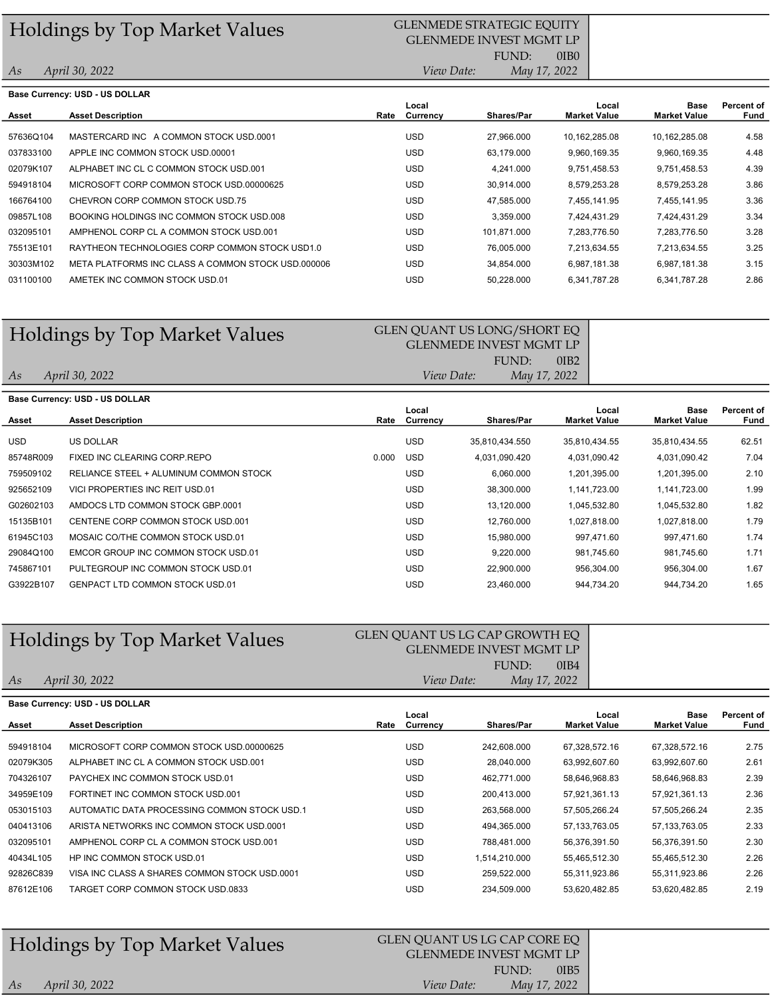## Holdings by Top Market Values GLENMEDE STRATEGIC EQUITY

### 0IB0 GLENMEDE INVEST MGMT LP FUND:

As Base<br>Market Value Rate Currency Shares/Par Market Value 4.58 4.48 4.39 3.86 3.36 3.34 3.28 3.25 3.15 2.86 031100100 AMETEK INC COMMON STOCK USD.01 COMMON STOCK USD.01 USD 50,228.000 6,341,787.28 6,341,787.28 30303M102 META PLATFORMS INC CLASS A COMMON STOCK USD.000006 USD 34,854.000 6,987,181.38 6,987,181.38 75513E101 RAYTHEON TECHNOLOGIES CORP COMMON STOCK USD1.0 USD 76,005.000 7,213,634.55 7,213,634.55 032095101 AMPHENOL CORP CL A COMMON STOCK USD.001 USD USD 101,871.000 7,283,776.50 7,283,776.50 7,283,776.50 09857L108 BOOKING HOLDINGS INC COMMON STOCK USD.008 USD USD 3,359.000 7,424,431.29 7,424,431.29 166764100 CHEVRON CORP COMMON STOCK USD.75 USD 47,585.000 7,455,141.95 7,455,141.95 594918104 MICROSOFT CORP COMMON STOCK USD.00000625 USD 30,914.000 8,579,253.28 8,579,253.28 02079K107 ALPHABET INC CL C COMMON STOCK USD.001 USD USD 4,241.000 9,751,458.53 9,751,458.53 037833100 APPLE INC COMMON STOCK USD.00001 COMMON STOCK USD COMPUTER SALL BETWEEN COMMON STOCK USD.000 USD COMMO 57636Q104 MASTERCARD INC A COMMON STOCK USD.0001 USD 27,966.000 10,162,285.08 10,162,285.08 Base Currency: USD - US DOLLAR Local Local Percent of Asset Asset Description Currency Shares/Par Market Value Fund April 30, 2022 View Date: May 17, 2022

## Holdings by Top Market Values GLEN QUANT US LONG/SHORT EQ

As

As

### 0IB2 GLENMEDE INVEST MGMT LP FUND: April 30, 2022 View Date: May 17, 2022

|            | Base Currency: USD - US DOLLAR         |       |                   |                   |                              |                                    |                    |
|------------|----------------------------------------|-------|-------------------|-------------------|------------------------------|------------------------------------|--------------------|
| Asset      | <b>Asset Description</b>               | Rate  | Local<br>Currency | <b>Shares/Par</b> | Local<br><b>Market Value</b> | <b>Base</b><br><b>Market Value</b> | Percent of<br>Fund |
| <b>USD</b> | US DOLLAR                              |       | <b>USD</b>        | 35,810,434.550    | 35.810.434.55                | 35,810,434.55                      | 62.51              |
| 85748R009  | FIXED INC CLEARING CORP.REPO           | 0.000 | <b>USD</b>        | 4,031,090.420     | 4,031,090.42                 | 4,031,090.42                       | 7.04               |
| 759509102  | RELIANCE STEEL + ALUMINUM COMMON STOCK |       | <b>USD</b>        | 6.060.000         | 1,201,395.00                 | 1,201,395.00                       | 2.10               |
| 925652109  | VICI PROPERTIES INC REIT USD.01        |       | <b>USD</b>        | 38,300.000        | 1,141,723.00                 | 1,141,723.00                       | 1.99               |
| G02602103  | AMDOCS LTD COMMON STOCK GBP.0001       |       | <b>USD</b>        | 13,120.000        | 1,045,532.80                 | 1,045,532.80                       | 1.82               |
| 15135B101  | CENTENE CORP COMMON STOCK USD.001      |       | <b>USD</b>        | 12.760.000        | 1,027,818.00                 | 1,027,818.00                       | 1.79               |
| 61945C103  | MOSAIC CO/THE COMMON STOCK USD.01      |       | <b>USD</b>        | 15,980.000        | 997,471.60                   | 997,471.60                         | 1.74               |
| 29084Q100  | EMCOR GROUP INC COMMON STOCK USD.01    |       | <b>USD</b>        | 9.220.000         | 981,745.60                   | 981.745.60                         | 1.71               |
| 745867101  | PULTEGROUP INC COMMON STOCK USD.01     |       | <b>USD</b>        | 22.900.000        | 956.304.00                   | 956.304.00                         | 1.67               |
| G3922B107  | <b>GENPACT LTD COMMON STOCK USD.01</b> |       | <b>USD</b>        | 23,460.000        | 944,734.20                   | 944,734.20                         | 1.65               |

# Holdings by Top Market Values<br>GLEN QUANT US LG CAP GROWTH EQ

### 0IB4 GLENMEDE INVEST MGMT LP FUND:

April 30, 2022 View Date: May 17, 2022

| Base Currency: USD - US DOLLAR |                                               |      |            |                   |                     |                     |            |  |  |
|--------------------------------|-----------------------------------------------|------|------------|-------------------|---------------------|---------------------|------------|--|--|
|                                |                                               |      | Local      |                   | Local               | Base                | Percent of |  |  |
| Asset                          | <b>Asset Description</b>                      | Rate | Currency   | <b>Shares/Par</b> | <b>Market Value</b> | <b>Market Value</b> | Fund       |  |  |
| 594918104                      | MICROSOFT CORP COMMON STOCK USD.00000625      |      | <b>USD</b> | 242.608.000       | 67.328.572.16       | 67.328.572.16       | 2.75       |  |  |
| 02079K305                      | ALPHABET INC CL A COMMON STOCK USD.001        |      | <b>USD</b> | 28,040.000        | 63,992,607.60       | 63,992,607.60       | 2.61       |  |  |
| 704326107                      | PAYCHEX INC COMMON STOCK USD.01               |      | <b>USD</b> | 462.771.000       | 58.646.968.83       | 58,646,968.83       | 2.39       |  |  |
| 34959E109                      | FORTINET INC COMMON STOCK USD.001             |      | <b>USD</b> | 200.413.000       | 57.921.361.13       | 57,921,361.13       | 2.36       |  |  |
| 053015103                      | AUTOMATIC DATA PROCESSING COMMON STOCK USD.1  |      | <b>USD</b> | 263,568.000       | 57,505,266.24       | 57,505,266.24       | 2.35       |  |  |
| 040413106                      | ARISTA NETWORKS INC COMMON STOCK USD.0001     |      | <b>USD</b> | 494,365.000       | 57, 133, 763. 05    | 57, 133, 763. 05    | 2.33       |  |  |
| 032095101                      | AMPHENOL CORP CL A COMMON STOCK USD.001       |      | <b>USD</b> | 788.481.000       | 56.376.391.50       | 56,376,391.50       | 2.30       |  |  |
| 40434L105                      | HP INC COMMON STOCK USD.01                    |      | <b>USD</b> | 1,514,210.000     | 55,465,512.30       | 55,465,512.30       | 2.26       |  |  |
| 92826C839                      | VISA INC CLASS A SHARES COMMON STOCK USD 0001 |      | <b>USD</b> | 259.522.000       | 55.311.923.86       | 55,311,923.86       | 2.26       |  |  |
| 87612E106                      | TARGET CORP COMMON STOCK USD.0833             |      | USD        | 234.509.000       | 53,620,482.85       | 53,620,482.85       | 2.19       |  |  |

| FUND:              | <b>Holdings by Top Market Values</b> | GLEN QUANT US LG CAP CORE EQ<br><b>GLENMEDE INVEST MGMT LP</b> |      |  |
|--------------------|--------------------------------------|----------------------------------------------------------------|------|--|
| May 17, 2022<br>As | April 30, 2022                       | <i>View Date:</i>                                              | 0IB5 |  |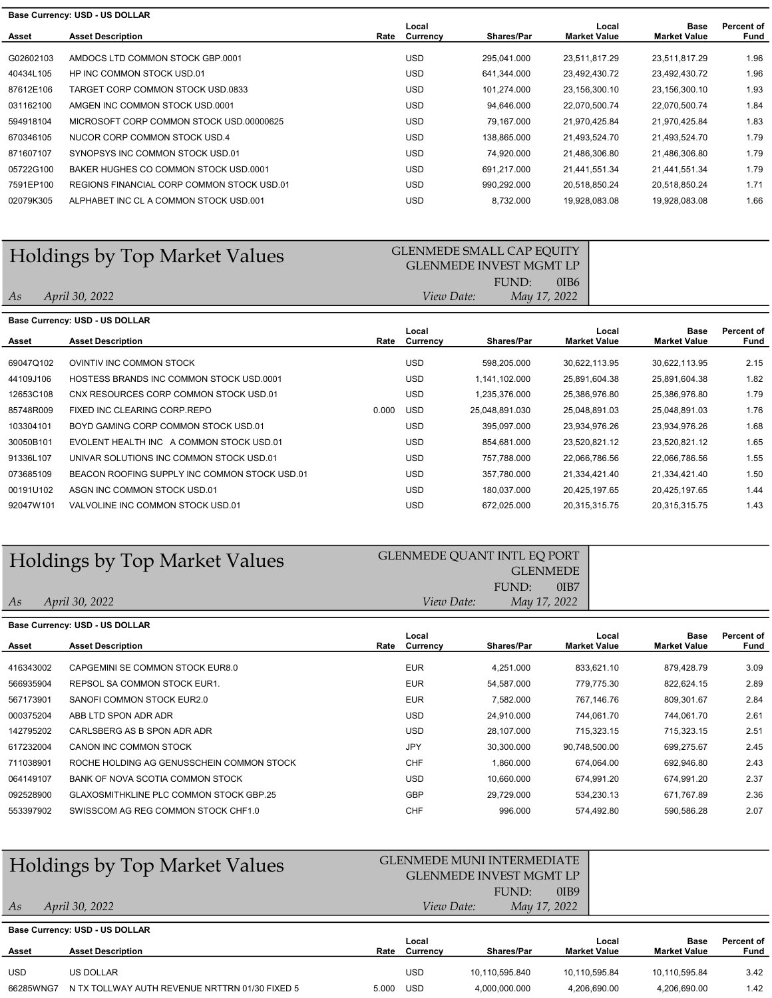| Base Currency: USD - US DOLLAR |                                            |      |                   |                   |                              |                             |                    |  |
|--------------------------------|--------------------------------------------|------|-------------------|-------------------|------------------------------|-----------------------------|--------------------|--|
| Asset                          | <b>Asset Description</b>                   | Rate | Local<br>Currency | <b>Shares/Par</b> | Local<br><b>Market Value</b> | Base<br><b>Market Value</b> | Percent of<br>Fund |  |
|                                |                                            |      |                   |                   |                              |                             |                    |  |
| G02602103                      | AMDOCS LTD COMMON STOCK GBP.0001           |      | <b>USD</b>        | 295.041.000       | 23,511,817.29                | 23,511,817.29               | 1.96               |  |
| 40434L105                      | HP INC COMMON STOCK USD.01                 |      | <b>USD</b>        | 641.344.000       | 23.492.430.72                | 23,492,430.72               | 1.96               |  |
| 87612E106                      | TARGET CORP COMMON STOCK USD.0833          |      | <b>USD</b>        | 101.274.000       | 23.156.300.10                | 23,156,300.10               | 1.93               |  |
| 031162100                      | AMGEN INC COMMON STOCK USD 0001            |      | <b>USD</b>        | 94,646.000        | 22,070,500.74                | 22,070,500.74               | 1.84               |  |
| 594918104                      | MICROSOFT CORP COMMON STOCK USD.00000625   |      | <b>USD</b>        | 79.167.000        | 21.970.425.84                | 21,970,425.84               | 1.83               |  |
| 670346105                      | NUCOR CORP COMMON STOCK USD.4              |      | <b>USD</b>        | 138.865.000       | 21.493.524.70                | 21.493.524.70               | 1.79               |  |
| 871607107                      | SYNOPSYS INC COMMON STOCK USD.01           |      | <b>USD</b>        | 74,920.000        | 21,486,306.80                | 21,486,306.80               | 1.79               |  |
| 05722G100                      | BAKER HUGHES CO COMMON STOCK USD 0001      |      | <b>USD</b>        | 691.217.000       | 21,441,551.34                | 21,441,551.34               | 1.79               |  |
| 7591EP100                      | REGIONS FINANCIAL CORP COMMON STOCK USD.01 |      | <b>USD</b>        | 990.292.000       | 20,518,850.24                | 20.518.850.24               | 1.71               |  |
| 02079K305                      | ALPHABET INC CL A COMMON STOCK USD 001     |      | <b>USD</b>        | 8,732.000         | 19,928,083.08                | 19,928,083.08               | 1.66               |  |
|                                |                                            |      |                   |                   |                              |                             |                    |  |

# Holdings by Top Market Values GLENMEDE SMALL CAP EQUITY

#### 0IB6 GLENMEDE INVEST MGMT LP FUND: April 30, 2022 View Date: May 17, 2022

# As

As

| <b>Base Currency: USD - US DOLLAR</b>           |                          |            |                |                   |                     |                     |  |  |  |  |
|-------------------------------------------------|--------------------------|------------|----------------|-------------------|---------------------|---------------------|--|--|--|--|
|                                                 |                          | Local      |                | Local             | Base                | Percent of<br>Fund  |  |  |  |  |
|                                                 |                          |            |                |                   |                     |                     |  |  |  |  |
| OVINTIV INC COMMON STOCK                        |                          | <b>USD</b> | 598.205.000    | 30.622.113.95     | 30.622.113.95       | 2.15                |  |  |  |  |
| <b>HOSTESS BRANDS INC COMMON STOCK USD.0001</b> |                          | <b>USD</b> | 1,141,102.000  | 25,891,604.38     | 25,891,604.38       | 1.82                |  |  |  |  |
| CNX RESOURCES CORP COMMON STOCK USD.01          |                          | <b>USD</b> | 1.235.376.000  | 25,386,976.80     | 25,386,976.80       | 1.79                |  |  |  |  |
| FIXED INC CLEARING CORP.REPO                    | 0.000                    | <b>USD</b> | 25,048,891.030 | 25,048,891.03     | 25,048,891.03       | 1.76                |  |  |  |  |
| BOYD GAMING CORP COMMON STOCK USD 01            |                          | <b>USD</b> | 395,097.000    | 23,934,976.26     | 23,934,976.26       | 1.68                |  |  |  |  |
| EVOLENT HEALTH INC A COMMON STOCK USD.01        |                          | <b>USD</b> | 854.681.000    | 23,520,821.12     | 23,520,821.12       | 1.65                |  |  |  |  |
| UNIVAR SOLUTIONS INC COMMON STOCK USD.01        |                          | <b>USD</b> | 757.788.000    | 22,066,786.56     | 22,066,786.56       | 1.55                |  |  |  |  |
| BEACON ROOFING SUPPLY INC COMMON STOCK USD 01   |                          | <b>USD</b> | 357.780.000    | 21.334.421.40     | 21,334,421.40       | 1.50                |  |  |  |  |
| ASGN INC COMMON STOCK USD.01                    |                          | <b>USD</b> | 180.037.000    | 20,425,197.65     | 20,425,197.65       | 1.44                |  |  |  |  |
| VALVOLINE INC COMMON STOCK USD.01               |                          | <b>USD</b> | 672,025.000    | 20,315,315.75     | 20,315,315.75       | 1.43                |  |  |  |  |
|                                                 | <b>Asset Description</b> | Rate       | Currency       | <b>Shares/Par</b> | <b>Market Value</b> | <b>Market Value</b> |  |  |  |  |

# Holdings by Top Market Values

| dings by Top Market Values | <b>GLENMEDE OUANT INTL EO PORT</b> |  |  |  |  |  |
|----------------------------|------------------------------------|--|--|--|--|--|
|                            | <b>GLENMEDE</b>                    |  |  |  |  |  |
|                            | 0 <sub>IB7</sub><br>FUND:          |  |  |  |  |  |
| April 30, 2022             | May 17, 2022<br>View Date:         |  |  |  |  |  |

|           | <b>Base Currency: USD - US DOLLAR</b>          |      |                   |                   |                              |                             |                    |
|-----------|------------------------------------------------|------|-------------------|-------------------|------------------------------|-----------------------------|--------------------|
| Asset     | <b>Asset Description</b>                       | Rate | Local<br>Currency | <b>Shares/Par</b> | Local<br><b>Market Value</b> | Base<br><b>Market Value</b> | Percent of<br>Fund |
| 416343002 | CAPGEMINI SE COMMON STOCK EUR8.0               |      | <b>EUR</b>        | 4.251.000         | 833.621.10                   | 879.428.79                  | 3.09               |
| 566935904 | REPSOL SA COMMON STOCK EUR1.                   |      | <b>EUR</b>        | 54.587.000        | 779.775.30                   | 822.624.15                  | 2.89               |
| 567173901 | SANOFI COMMON STOCK EUR2.0                     |      | <b>EUR</b>        | 7,582.000         | 767,146.76                   | 809,301.67                  | 2.84               |
| 000375204 | ABB LTD SPON ADR ADR                           |      | <b>USD</b>        | 24.910.000        | 744.061.70                   | 744.061.70                  | 2.61               |
| 142795202 | CARLSBERG AS B SPON ADR ADR                    |      | <b>USD</b>        | 28,107.000        | 715,323.15                   | 715,323.15                  | 2.51               |
| 617232004 | CANON INC COMMON STOCK                         |      | JPY               | 30.300.000        | 90.748.500.00                | 699.275.67                  | 2.45               |
| 711038901 | ROCHE HOLDING AG GENUSSCHEIN COMMON STOCK      |      | <b>CHF</b>        | 1.860.000         | 674.064.00                   | 692,946.80                  | 2.43               |
| 064149107 | BANK OF NOVA SCOTIA COMMON STOCK               |      | <b>USD</b>        | 10.660.000        | 674.991.20                   | 674.991.20                  | 2.37               |
| 092528900 | <b>GLAXOSMITHKLINE PLC COMMON STOCK GBP.25</b> |      | <b>GBP</b>        | 29,729.000        | 534,230.13                   | 671,767.89                  | 2.36               |
| 553397902 | SWISSCOM AG REG COMMON STOCK CHF1.0            |      | <b>CHF</b>        | 996.000           | 574.492.80                   | 590,586.28                  | 2.07               |

#### 0IB9 As Base Base Currency: USD - US DOLLAR Holdings by Top Market Values GLENMEDE MUNI INTERMEDIATE GLENMEDE INVEST MGMT LP FUND: April 30, 2022 View Date: May 17, 2022

|            | $-2000$ $-0011010$ , $-000$                    |       |                   |                   | Local               | Base                | Percent of |
|------------|------------------------------------------------|-------|-------------------|-------------------|---------------------|---------------------|------------|
| Asset      | <b>Asset Description</b>                       | Rate  | Local<br>Currency | <b>Shares/Par</b> | <b>Market Value</b> | <b>Market Value</b> | Fund       |
|            |                                                |       |                   |                   |                     |                     |            |
| <b>USD</b> | US DOLLAR                                      |       | USD               | 10.110.595.840    | 10.110.595.84       | 10.110.595.84       | 3.42       |
| 66285WNG7  | N TX TOLLWAY AUTH REVENUE NRTTRN 01/30 FIXED 5 | 5.000 | <b>USD</b>        | 4.000.000.000     | 4.206.690.00        | 4.206.690.00        | 1.42       |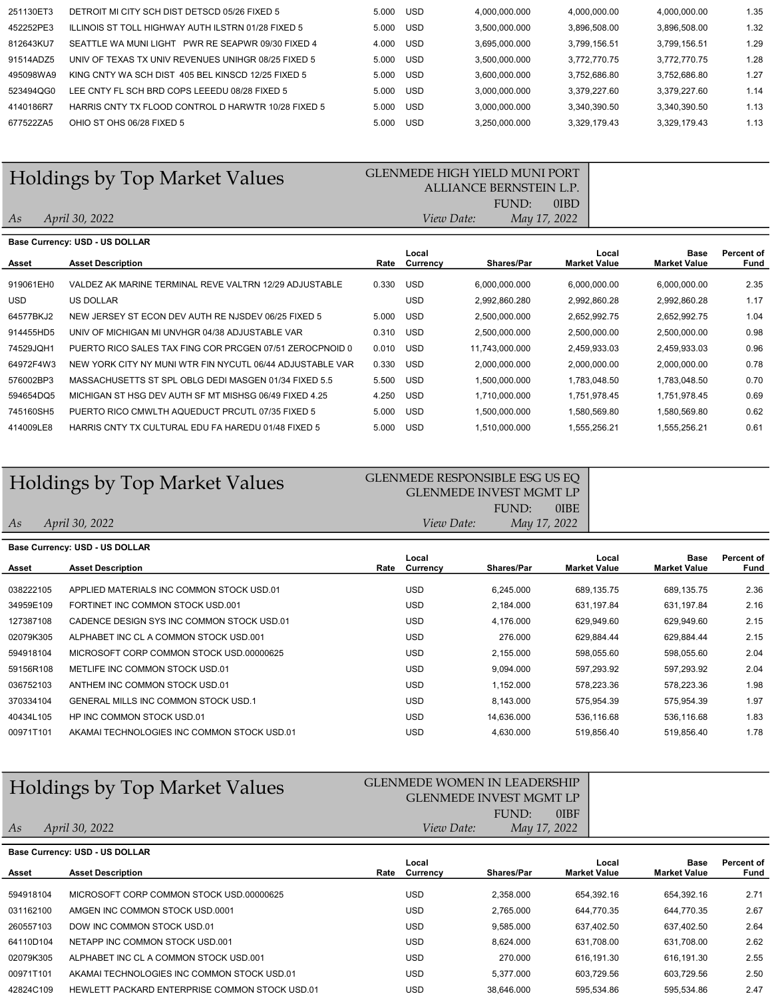| 251130ET3 | DETROIT MI CITY SCH DIST DETSCD 05/26 FIXED 5       | 5.000 | USD        | 4.000.000.000 | 4,000,000.00 | 4,000,000.00 | 1.35 |
|-----------|-----------------------------------------------------|-------|------------|---------------|--------------|--------------|------|
| 452252PE3 | ILLINOIS ST TOLL HIGHWAY AUTH ILSTRN 01/28 FIXED 5  | 5.000 | <b>USD</b> | 3.500.000.000 | 3.896.508.00 | 3.896.508.00 | 1.32 |
| 812643KU7 | PWR RE SEAPWR 09/30 FIXED 4<br>SEATTLE WA MUNITIGHT | 4.000 | <b>USD</b> | 3.695.000.000 | 3.799.156.51 | 3.799.156.51 | 1.29 |
| 91514ADZ5 | UNIV OF TEXAS TX UNIV REVENUES UNIHGR 08/25 FIXED 5 | 5.000 | <b>USD</b> | 3.500.000.000 | 3.772.770.75 | 3.772.770.75 | 1.28 |
| 495098WA9 | KING CNTY WA SCH DIST 405 BEL KINSCD 12/25 FIXED 5  | 5.000 | <b>USD</b> | 3.600.000.000 | 3.752.686.80 | 3.752.686.80 | 1.27 |
| 523494QG0 | LEE CNTY FL SCH BRD COPS LEEEDU 08/28 FIXED 5       | 5.000 | <b>USD</b> | 3.000.000.000 | 3.379.227.60 | 3.379.227.60 | 1.14 |
| 4140186R7 | HARRIS CNTY TX FLOOD CONTROL D HARWTR 10/28 FIXED 5 | 5.000 | <b>USD</b> | 3.000.000.000 | 3.340.390.50 | 3.340.390.50 | 1.13 |
| 677522ZA5 | OHIO ST OHS 06/28 FIXED 5                           | 5.000 | <b>USD</b> | 3.250.000.000 | 3.329.179.43 | 3.329.179.43 | 1.13 |
|           |                                                     |       |            |               |              |              |      |

### Holdings by Top Market Values GLENMEDE HIGH YIELD MUNI PORT

### 0IBD ALLIANCE BERNSTEIN L.P. FUND:

As April 30, 2022 **View Date:** May 17, 2022

|           | Base Currency: USD - US DOLLAR                            |       |            |                   |                              |                             |                    |
|-----------|-----------------------------------------------------------|-------|------------|-------------------|------------------------------|-----------------------------|--------------------|
| Asset     | <b>Asset Description</b>                                  | Rate  | Local      | <b>Shares/Par</b> | Local<br><b>Market Value</b> | Base<br><b>Market Value</b> | Percent of<br>Fund |
|           |                                                           |       | Currency   |                   |                              |                             |                    |
| 919061EH0 | VALDEZ AK MARINE TERMINAL REVE VALTRN 12/29 ADJUSTABLE    | 0.330 | <b>USD</b> | 6.000.000.000     | 6,000,000.00                 | 6,000,000.00                | 2.35               |
| USD.      | US DOLLAR                                                 |       | <b>USD</b> | 2,992,860.280     | 2,992,860.28                 | 2,992,860.28                | 1.17               |
| 64577BKJ2 | NEW JERSEY ST ECON DEV AUTH RE NJSDEV 06/25 FIXED 5       | 5.000 | <b>USD</b> | 2,500,000.000     | 2,652,992.75                 | 2,652,992.75                | 1.04               |
| 914455HD5 | UNIV OF MICHIGAN MI UNVHGR 04/38 ADJUSTABLE VAR           | 0.310 | <b>USD</b> | 2,500,000.000     | 2,500,000.00                 | 2,500,000.00                | 0.98               |
| 74529JQH1 | PUERTO RICO SALES TAX FING COR PRCGEN 07/51 ZEROCPNOID 0  | 0.010 | <b>USD</b> | 11,743,000.000    | 2,459,933.03                 | 2,459,933.03                | 0.96               |
| 64972F4W3 | NEW YORK CITY NY MUNI WTR FIN NYCUTL 06/44 ADJUSTABLE VAR | 0.330 | <b>USD</b> | 2,000,000.000     | 2,000,000.00                 | 2,000,000.00                | 0.78               |
| 576002BP3 | MASSACHUSETTS ST SPL OBLG DEDI MASGEN 01/34 FIXED 5.5     | 5.500 | <b>USD</b> | 1.500.000.000     | 1.783.048.50                 | 1.783.048.50                | 0.70               |
| 594654DQ5 | MICHIGAN ST HSG DEV AUTH SF MT MISHSG 06/49 FIXED 4.25    | 4.250 | <b>USD</b> | 1.710.000.000     | 1.751.978.45                 | 1.751.978.45                | 0.69               |
| 745160SH5 | PUERTO RICO CMWLTH AQUEDUCT PRCUTL 07/35 FIXED 5          | 5.000 | <b>USD</b> | 1.500.000.000     | 1,580,569.80                 | 1,580,569.80                | 0.62               |
| 414009LE8 | HARRIS CNTY TX CULTURAL EDU FA HAREDU 01/48 FIXED 5       | 5.000 | <b>USD</b> | 1,510,000.000     | 1.555.256.21                 | 1,555,256.21                | 0.61               |

## Holdings by Top Market Values<br>GLENMEDE RESPONSIBLE ESG US EQ

### 0IBE GLENMEDE INVEST MGMT LP FUND:

As Base Rate Currency Shares/Par Market Value Market Value 2.36 2.16 2.15 2.15 2.04 2.04 1.98 1.97 1.83 1.78 00971T101 AKAMAI TECHNOLOGIES INC COMMON STOCK USD.01 USD 4,630.000 519,856.40 519,856.40 519,856.40 40434L105 HP INC COMMON STOCK USD.01 USD 14,636.000 536,116.68 536,116.68 370334104 GENERAL MILLS INC COMMON STOCK USD.1 USD 8,143.000 575,954.39 575,954.39 036752103 ANTHEM INC COMMON STOCK USD.01 COMMON STOCK USD.01 USD 1,152.000 578,223.36 578,223.36 59156R108 METLIFE INC COMMON STOCK USD.01 USD 9,094.000 597,293.92 597,293.92 594918104 MICROSOFT CORP COMMON STOCK USD.00000625 USD 2,155.000 598,055.60 598,055.60 02079K305 ALPHABET INC CL A COMMON STOCK USD.001 USD USD 276.000 629,884.44 629,884.44 127387108 CADENCE DESIGN SYS INC COMMON STOCK USD.01 USD 4,176.000 629,949.60 629,949.60 34959E109 FORTINET INC COMMON STOCK USD.001 USD 2,184.000 631,197.84 631,197.84 038222105 APPLIED MATERIALS INC COMMON STOCK USD.01 USD USD 6,245.000 689,135.75 689,135.75 Base Currency: USD - US DOLLAR Local Local Percent of Asset Asset Description Currency Shares/Par Market Value Fund April 30, 2022 View Date: May 17, 2022

# Holdings by Top Market Values GLENMEDE WOMEN IN LEADERSHIP

As

### 0IBF GLENMEDE INVEST MGMT LP FUND: April 30, 2022 View Date: May 17, 2022

Base<br>Market Value Rate Currency Shares/Par Market Value 2.71 2.67 2.64 2.62 2.55 2.50 42824C109 HEWLETT PACKARD ENTERPRISE COMMON STOCK USD.01 USD 38,646.000 595,534.86 595,534.86 2.47 00971T101 AKAMAI TECHNOLOGIES INC COMMON STOCK USD.01 USD USD 5,377.000 603,729.56 603,729.56 02079K305 ALPHABET INC CL A COMMON STOCK USD.001 USD USD 270.000 616,191.30 616,191.30 616,191.30 64110D104 NETAPP INC COMMON STOCK USD.001 USD 8,624.000 631,708.00 631,708.00 260557103 DOW INC COMMON STOCK USD.01 USD 9,585.000 637,402.50 637,402.50 031162100 AMGEN INC COMMON STOCK USD.0001 COMMON 2,765.000 644,770.35 644,770.35 594918104 MICROSOFT CORP COMMON STOCK USD.00000625 USD 2,358.000 654,392.16 654,392.16 Base Currency: USD - US DOLLAR Local Local Percent of Asset Asset Description Currency Shares/Par Market Value Fund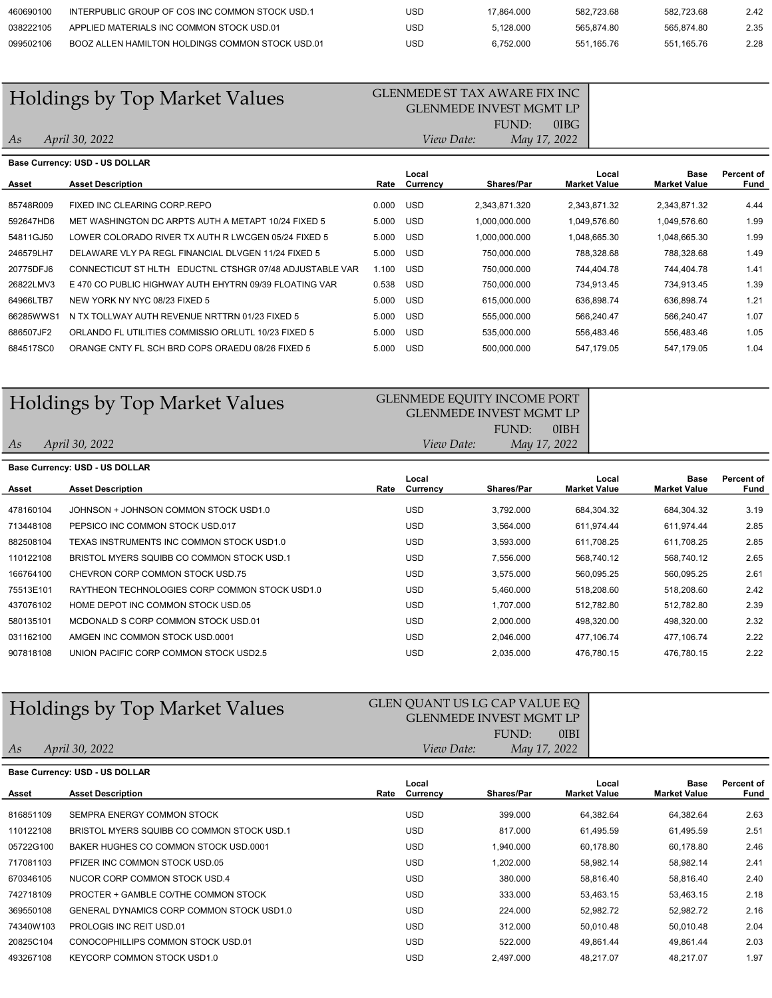| 460690100 | INTERPUBLIC GROUP OF COS INC COMMON STOCK USD.1  | USC | 17.864.000 | 582.723.68 | 582.723.68 | 2.42 |
|-----------|--------------------------------------------------|-----|------------|------------|------------|------|
| 038222105 | APPLIED MATERIALS INC COMMON STOCK USD.01        | USC | 5.128.000  | 565.874.80 | 565.874.80 | 2.35 |
| 099502106 | BOOZ ALLEN HAMILTON HOLDINGS COMMON STOCK USD.01 | USC | 6.752.000  | 551.165.76 | 551.165.76 | 2.28 |

# Holdings by Top Market Values<br>GLENMEDE ST TAX AWARE FIX INC

### FUND: 0IBG GLENMEDE INVEST MGMT LP April 30, 2022 View Date: May 17, 2022

As

| Base Currency: USD - US DOLLAR |                                                            |       |                   |                   |                              |                             |                    |  |  |
|--------------------------------|------------------------------------------------------------|-------|-------------------|-------------------|------------------------------|-----------------------------|--------------------|--|--|
| Asset                          | <b>Asset Description</b>                                   | Rate  | Local<br>Currency | <b>Shares/Par</b> | Local<br><b>Market Value</b> | Base<br><b>Market Value</b> | Percent of<br>Fund |  |  |
| 85748R009                      | FIXED INC CLEARING CORP.REPO                               | 0.000 | USD               | 2,343,871.320     | 2,343,871.32                 | 2,343,871.32                | 4.44               |  |  |
| 592647HD6                      | MET WASHINGTON DC ARPTS AUTH A METAPT 10/24 FIXED 5        | 5.000 | USD               | 1.000.000.000     | 1.049.576.60                 | 1,049,576.60                | 1.99               |  |  |
| 54811GJ50                      | LOWER COLORADO RIVER TX AUTH R LWCGEN 05/24 FIXED 5        | 5.000 | USD               | 1.000.000.000     | 1.048.665.30                 | 1,048,665.30                | 1.99               |  |  |
| 246579LH7                      | DELAWARE VLY PA REGL FINANCIAL DLVGEN 11/24 FIXED 5        | 5.000 | USD               | 750.000.000       | 788,328.68                   | 788.328.68                  | 1.49               |  |  |
| 20775DFJ6                      | CONNECTICUT ST HLTH<br>EDUCTNL CTSHGR 07/48 ADJUSTABLE VAR | 1.100 | USD               | 750.000.000       | 744.404.78                   | 744.404.78                  | 1.41               |  |  |
| 26822LMV3                      | E 470 CO PUBLIC HIGHWAY AUTH EHYTRN 09/39 FLOATING VAR     | 0.538 | USD               | 750.000.000       | 734.913.45                   | 734.913.45                  | 1.39               |  |  |
| 64966LTB7                      | NEW YORK NY NYC 08/23 FIXED 5                              | 5.000 | USD               | 615,000.000       | 636,898.74                   | 636,898.74                  | 1.21               |  |  |
| 66285WWS1                      | N TX TOLLWAY AUTH REVENUE NRTTRN 01/23 FIXED 5             | 5.000 | USD               | 555,000.000       | 566,240.47                   | 566,240.47                  | 1.07               |  |  |
| 686507JF2                      | ORLANDO FL UTILITIES COMMISSIO ORLUTL 10/23 FIXED 5        | 5.000 | <b>USD</b>        | 535.000.000       | 556,483.46                   | 556,483.46                  | 1.05               |  |  |
| 684517SC0                      | ORANGE CNTY FL SCH BRD COPS ORAEDU 08/26 FIXED 5           | 5.000 | <b>USD</b>        | 500,000.000       | 547.179.05                   | 547,179.05                  | 1.04               |  |  |

| <b>Holdings by Top Market Values</b> | <b>GLENMEDE EQUITY INCOME PORT</b><br><b>GLENMEDE INVEST MGMT LP</b> |  |
|--------------------------------------|----------------------------------------------------------------------|--|
| As<br>April 30, 2022                 | 0IBH<br>FUND:<br>May 17, 2022<br><i>View Date:</i>                   |  |
|                                      |                                                                      |  |

|           | Base Currency: USD - US DOLLAR                 |      |            |                   |                     |                     |            |
|-----------|------------------------------------------------|------|------------|-------------------|---------------------|---------------------|------------|
|           |                                                |      | Local      |                   | Local               | Base                | Percent of |
| Asset     | <b>Asset Description</b>                       | Rate | Currency   | <b>Shares/Par</b> | <b>Market Value</b> | <b>Market Value</b> | Fund       |
| 478160104 | JOHNSON + JOHNSON COMMON STOCK USD1.0          |      | <b>USD</b> | 3.792.000         | 684,304.32          | 684,304.32          | 3.19       |
| 713448108 | PEPSICO INC COMMON STOCK USD.017               |      | <b>USD</b> | 3,564.000         | 611,974.44          | 611,974.44          | 2.85       |
| 882508104 | TEXAS INSTRUMENTS INC COMMON STOCK USD1.0      |      | <b>USD</b> | 3.593.000         | 611.708.25          | 611.708.25          | 2.85       |
| 110122108 | BRISTOL MYERS SQUIBB CO COMMON STOCK USD.1     |      | <b>USD</b> | 7.556.000         | 568.740.12          | 568.740.12          | 2.65       |
| 166764100 | CHEVRON CORP COMMON STOCK USD.75               |      | <b>USD</b> | 3,575.000         | 560,095.25          | 560,095.25          | 2.61       |
| 75513E101 | RAYTHEON TECHNOLOGIES CORP COMMON STOCK USD1.0 |      | <b>USD</b> | 5,460.000         | 518.208.60          | 518,208.60          | 2.42       |
| 437076102 | HOME DEPOT INC COMMON STOCK USD.05             |      | <b>USD</b> | 1.707.000         | 512,782.80          | 512,782.80          | 2.39       |
| 580135101 | MCDONALD S CORP COMMON STOCK USD.01            |      | <b>USD</b> | 2.000.000         | 498.320.00          | 498,320.00          | 2.32       |
| 031162100 | AMGEN INC COMMON STOCK USD.0001                |      | <b>USD</b> | 2.046.000         | 477.106.74          | 477.106.74          | 2.22       |
| 907818108 | UNION PACIFIC CORP COMMON STOCK USD2.5         |      | <b>USD</b> | 2.035.000         | 476,780.15          | 476.780.15          | 2.22       |
|           |                                                |      |            |                   |                     |                     |            |

| Holdings by Top Market Values |  |  |
|-------------------------------|--|--|
|                               |  |  |

As

0IBI GLEN QUANT US LG CAP VALUE EQ GLENMEDE INVEST MGMT LP FUND: April 30, 2022 View Date: May 17, 2022

|           | <b>Base Currency: USD - US DOLLAR</b>            |      |                   |                   |                              |                             |                    |
|-----------|--------------------------------------------------|------|-------------------|-------------------|------------------------------|-----------------------------|--------------------|
| Asset     | <b>Asset Description</b>                         | Rate | Local<br>Currency | <b>Shares/Par</b> | Local<br><b>Market Value</b> | Base<br><b>Market Value</b> | Percent of<br>Fund |
|           |                                                  |      |                   |                   |                              |                             |                    |
| 816851109 | SEMPRA ENERGY COMMON STOCK                       |      | <b>USD</b>        | 399,000           | 64.382.64                    | 64.382.64                   | 2.63               |
| 110122108 | BRISTOL MYERS SOUIBB CO COMMON STOCK USD.1       |      | <b>USD</b>        | 817.000           | 61,495.59                    | 61,495.59                   | 2.51               |
| 05722G100 | BAKER HUGHES CO COMMON STOCK USD.0001            |      | <b>USD</b>        | 1.940.000         | 60,178.80                    | 60,178.80                   | 2.46               |
| 717081103 | PFIZER INC COMMON STOCK USD.05                   |      | <b>USD</b>        | 1.202.000         | 58,982.14                    | 58,982.14                   | 2.41               |
| 670346105 | NUCOR CORP COMMON STOCK USD.4                    |      | <b>USD</b>        | 380,000           | 58,816.40                    | 58,816.40                   | 2.40               |
| 742718109 | <b>PROCTER + GAMBLE CO/THE COMMON STOCK</b>      |      | <b>USD</b>        | 333,000           | 53.463.15                    | 53.463.15                   | 2.18               |
| 369550108 | <b>GENERAL DYNAMICS CORP COMMON STOCK USD1.0</b> |      | <b>USD</b>        | 224,000           | 52,982.72                    | 52,982.72                   | 2.16               |
| 74340W103 | PROLOGIS INC REIT USD.01                         |      | <b>USD</b>        | 312,000           | 50.010.48                    | 50.010.48                   | 2.04               |
| 20825C104 | CONOCOPHILLIPS COMMON STOCK USD.01               |      | <b>USD</b>        | 522,000           | 49,861.44                    | 49.861.44                   | 2.03               |
| 493267108 | KEYCORP COMMON STOCK USD1.0                      |      | USD               | 2.497.000         | 48.217.07                    | 48.217.07                   | 1.97               |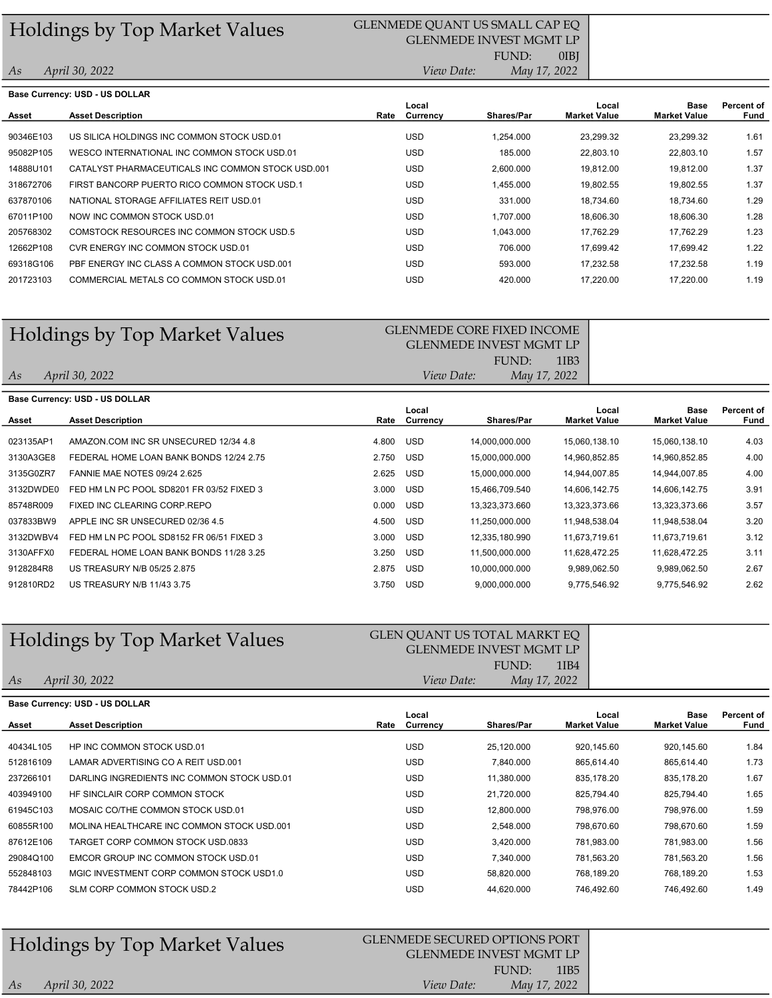# Holdings by Top Market Values<br>GLENMEDE QUANT US SMALL CAP EQ

# GLENMEDE INVEST MGMT LP

FUND:

0IBJ

1.61 1.57 1.37 1.37 1.29 1.28 1.23 1.22 1.19 1.19

| As        | April 30, 2022                                    |      | <i>View Date:</i> | May 17, 2022 |                              |                             |                    |
|-----------|---------------------------------------------------|------|-------------------|--------------|------------------------------|-----------------------------|--------------------|
|           | Base Currency: USD - US DOLLAR                    |      |                   |              |                              |                             |                    |
| Asset     | <b>Asset Description</b>                          | Rate | Local<br>Currency | Shares/Par   | Local<br><b>Market Value</b> | Base<br><b>Market Value</b> | Percent of<br>Fund |
| 90346E103 | US SILICA HOLDINGS INC COMMON STOCK USD.01        |      | <b>USD</b>        | 1.254.000    | 23.299.32                    | 23,299.32                   | 1.61               |
| 95082P105 | WESCO INTERNATIONAL INC COMMON STOCK USD.01       |      | <b>USD</b>        | 185,000      | 22,803.10                    | 22,803.10                   | 1.57               |
| 14888U101 | CATALYST PHARMACEUTICALS INC COMMON STOCK USD.001 |      | <b>USD</b>        | 2,600.000    | 19.812.00                    | 19,812.00                   | 1.37               |
| 318672706 | FIRST BANCORP PUERTO RICO COMMON STOCK USD.1      |      | <b>USD</b>        | 1.455.000    | 19.802.55                    | 19,802.55                   | 1.37               |
| 637870106 | NATIONAL STORAGE AFFILIATES REIT USD.01           |      | <b>USD</b>        | 331.000      | 18.734.60                    | 18.734.60                   | 1.29               |
| 67011P100 | NOW INC COMMON STOCK USD.01                       |      | <b>USD</b>        | 1.707.000    | 18.606.30                    | 18,606.30                   | 1.28               |
| 205768302 | COMSTOCK RESOURCES INC COMMON STOCK USD.5         |      | <b>USD</b>        | 1.043.000    | 17.762.29                    | 17.762.29                   | 1.23               |
| 12662P108 | CVR ENERGY INC COMMON STOCK USD.01                |      | <b>USD</b>        | 706.000      | 17,699.42                    | 17,699.42                   | 1.22               |
| 69318G106 | PBF ENERGY INC CLASS A COMMON STOCK USD.001       |      | <b>USD</b>        | 593.000      | 17.232.58                    | 17.232.58                   | 1.19               |

201723103 COMMERCIAL METALS CO COMMON STOCK USD.01 USD 420.000 17,220.00 17,220.00

# Holdings by Top Market Values GLENMEDE CORE FIXED INCOME

### 1IB3 GLENMEDE INVEST MGMT LP FUND: April 30, 2022 View Date: May 17, 2022

As

As

| Base Currency: USD - US DOLLAR |                                           |       |            |                   |                     |                     |            |  |
|--------------------------------|-------------------------------------------|-------|------------|-------------------|---------------------|---------------------|------------|--|
|                                |                                           |       | Local      |                   | Local               | Base                | Percent of |  |
| Asset                          | <b>Asset Description</b>                  | Rate  | Currency   | <b>Shares/Par</b> | <b>Market Value</b> | <b>Market Value</b> | Fund       |  |
|                                |                                           |       |            |                   |                     |                     |            |  |
| 023135AP1                      | AMAZON COM INC SR UNSECURED 12/34 4.8     | 4.800 | <b>USD</b> | 14.000.000.000    | 15.060.138.10       | 15,060,138.10       | 4.03       |  |
| 3130A3GE8                      | FEDERAL HOME LOAN BANK BONDS 12/24 2.75   | 2.750 | <b>USD</b> | 15,000,000.000    | 14,960,852.85       | 14,960,852.85       | 4.00       |  |
| 3135G0ZR7                      | FANNIE MAE NOTES 09/24 2.625              | 2.625 | <b>USD</b> | 15,000,000.000    | 14.944.007.85       | 14,944,007.85       | 4.00       |  |
| 3132DWDE0                      | FED HM LN PC POOL SD8201 FR 03/52 FIXED 3 | 3.000 | <b>USD</b> | 15.466.709.540    | 14.606.142.75       | 14,606,142.75       | 3.91       |  |
| 85748R009                      | FIXED INC CLEARING CORP.REPO              | 0.000 | <b>USD</b> | 13,323,373.660    | 13,323,373.66       | 13,323,373.66       | 3.57       |  |
| 037833BW9                      | APPLE INC SR UNSECURED 02/36 4.5          | 4.500 | <b>USD</b> | 11.250.000.000    | 11.948.538.04       | 11.948.538.04       | 3.20       |  |
| 3132DWBV4                      | FED HM LN PC POOL SD8152 FR 06/51 FIXED 3 | 3.000 | <b>USD</b> | 12.335.180.990    | 11,673,719.61       | 11,673,719.61       | 3.12       |  |
| 3130AFFX0                      | FEDERAL HOME LOAN BANK BONDS 11/28 3.25   | 3.250 | <b>USD</b> | 11.500.000.000    | 11,628,472.25       | 11,628,472.25       | 3.11       |  |
| 9128284R8                      | US TREASURY N/B 05/25 2.875               | 2.875 | <b>USD</b> | 10.000.000.000    | 9.989.062.50        | 9.989.062.50        | 2.67       |  |
| 912810RD2                      | US TREASURY N/B 11/43 3.75                | 3.750 | <b>USD</b> | 9,000,000.000     | 9.775.546.92        | 9,775,546.92        | 2.62       |  |

# Holdings by Top Market Values<br>GLEN QUANT US TOTAL MARKT EQ

### 1IB4 GLENMEDE INVEST MGMT LP FUND:

April 30, 2022 View Date: May 17, 2022

| <b>Base Currency: USD - US DOLLAR</b>       |      |       |                   |                              |                             |                    |  |
|---------------------------------------------|------|-------|-------------------|------------------------------|-----------------------------|--------------------|--|
| <b>Asset Description</b>                    | Rate | Local | <b>Shares/Par</b> | Local<br><b>Market Value</b> | Base<br><b>Market Value</b> | Percent of<br>Fund |  |
|                                             |      |       |                   |                              |                             |                    |  |
| HP INC COMMON STOCK USD.01                  |      | USD   | 25,120.000        | 920,145.60                   | 920.145.60                  | 1.84               |  |
| LAMAR ADVERTISING CO A REIT USD.001         |      | USD   | 7,840.000         | 865,614.40                   | 865,614.40                  | 1.73               |  |
| DARLING INGREDIENTS INC COMMON STOCK USD.01 |      | USD   | 11,380.000        | 835,178.20                   | 835,178.20                  | 1.67               |  |
| HE SINCLAIR CORP COMMON STOCK               |      | USD   | 21,720.000        | 825,794.40                   | 825,794.40                  | 1.65               |  |
| MOSAIC CO/THE COMMON STOCK USD.01           |      | USD   | 12.800.000        | 798.976.00                   | 798.976.00                  | 1.59               |  |
| MOLINA HEALTHCARE INC COMMON STOCK USD 001  |      | USD   | 2.548.000         | 798.670.60                   | 798.670.60                  | 1.59               |  |
| TARGET CORP COMMON STOCK USD.0833           |      | USD   | 3,420.000         | 781,983.00                   | 781,983.00                  | 1.56               |  |
| EMCOR GROUP INC COMMON STOCK USD.01         |      | USD   | 7.340.000         | 781,563.20                   | 781,563.20                  | 1.56               |  |
| MGIC INVESTMENT CORP COMMON STOCK USD1.0    |      | USD   | 58.820.000        | 768.189.20                   | 768.189.20                  | 1.53               |  |
| SLM CORP COMMON STOCK USD.2                 |      | USD   | 44.620.000        | 746.492.60                   | 746.492.60                  | 1.49               |  |
|                                             |      |       | Currency          |                              |                             |                    |  |

|    | <b>Holdings by Top Market Values</b> | <b>GLENMEDE SECURED OPTIONS PORT</b><br><b>GLENMEDE INVEST MGMT LP</b> |                  |  |
|----|--------------------------------------|------------------------------------------------------------------------|------------------|--|
|    |                                      | FUND:                                                                  | 1IB <sub>5</sub> |  |
| As | April 30, 2022                       | May 17, 2022<br><i>View Date:</i>                                      |                  |  |